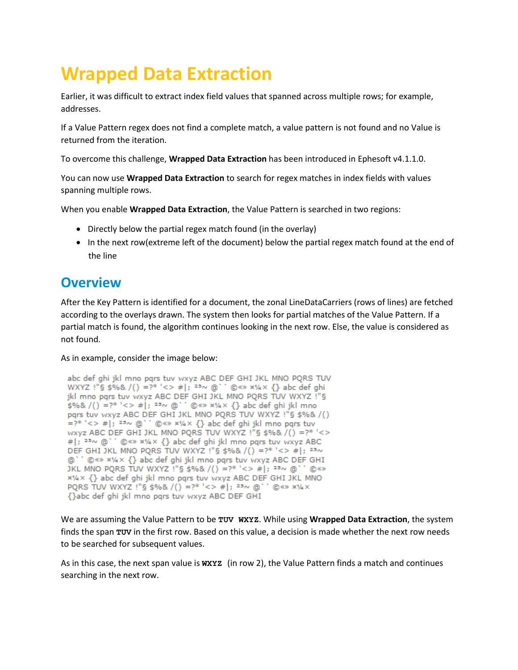# **Wrapped Data Extraction**

Earlier, it was difficult to extract index field values that spanned across multiple rows; for example, addresses.

If a Value Pattern regex does not find a complete match, a value pattern is not found and no Value is returned from the iteration.

To overcome this challenge, **Wrapped Data Extraction** has been introduced in Ephesoft v4.1.1.0.

You can now use **Wrapped Data Extraction** to search for regex matches in index fields with values spanning multiple rows.

When you enable **Wrapped Data Extraction**, the Value Pattern is searched in two regions:

- Directly below the partial regex match found (in the overlay)
- In the next row(extreme left of the document) below the partial regex match found at the end of the line

### **Overview**

After the Key Pattern is identified for a document, the zonal LineDataCarriers (rows of lines) are fetched according to the overlays drawn. The system then looks for partial matches of the Value Pattern. If a partial match is found, the algorithm continues looking in the next row. Else, the value is considered as not found.

As in example, consider the image below:

```
abc def ghi jkl mno pgrs tuv wxyz ABC DEF GHI JKL MNO PQRS TUV
WXYZ !"§ $%& /() =?* '<> #|; <sup>23</sup> ~ @ ' ' @ <> x1/4 x {} abc def ghi
ikl mno pars tuv wxyz ABC DEF GHI JKL MNO PORS TUV WXYZ !"§
$%& /() =?* '<> #|; 23~ @' ' @ ** x' {} abc def ghi jkl mno
pars tuv wxyz ABC DEF GHI JKL MNO PORS TUV WXYZ !"§ $%& /()
=?* '<> #|; 23\sim @' ' © <> x1/4 x {} abc def ghi jkl mno pqrs tuv
wxyz ABC DEF GHI JKL MNO PQRS TUV WXYZ !"§ $%& /() =?* '<>
#|; 23~ @`' © <>> x1/4 x {} abc def ghi jkl mno pqrs tuv wxyz ABC
DEF GHI JKL MNO PORS TUV WXYZ !"§ $%& /() =?* '<> #|; 23~
@`' © <>> x1/4 x {} abc def ghi jkl mno pqrs tuv wxyz ABC DEF GHI
JKL MNO PQRS TUV WXYZ !"§ $%& /() =?* '<> #|; 23~ @` ' © «»
x¼x {} abc def ghi jkl mno pqrs tuv wxyz ABC DEF GHI JKL MNO
PQRS TUV WXYZ !"§ $%& /() =?* '<> #|; 23~ @`' © <>> x1/4 x
{}abc def ghi jkl mno pqrs tuv wxyz ABC DEF GHI
```
We are assuming the Value Pattern to be **TUV WXYZ**. While using **Wrapped Data Extraction**, the system finds the span **TUV** in the first row. Based on this value, a decision is made whether the next row needs to be searched for subsequent values.

As in this case, the next span value is **WXYZ** (in row 2), the Value Pattern finds a match and continues searching in the next row.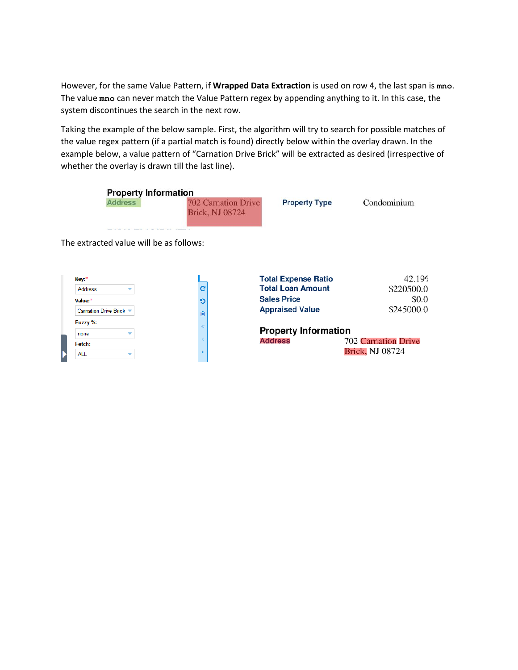However, for the same Value Pattern, if **Wrapped Data Extraction** is used on row 4, the last span is **mno**. The value **mno** can never match the Value Pattern regex by appending anything to it. In this case, the system discontinues the search in the next row.

Taking the example of the below sample. First, the algorithm will try to search for possible matches of the value regex pattern (if a partial match is found) directly below within the overlay drawn. In the example below, a value pattern of "Carnation Drive Brick" will be extracted as desired (irrespective of whether the overlay is drawn till the last line).

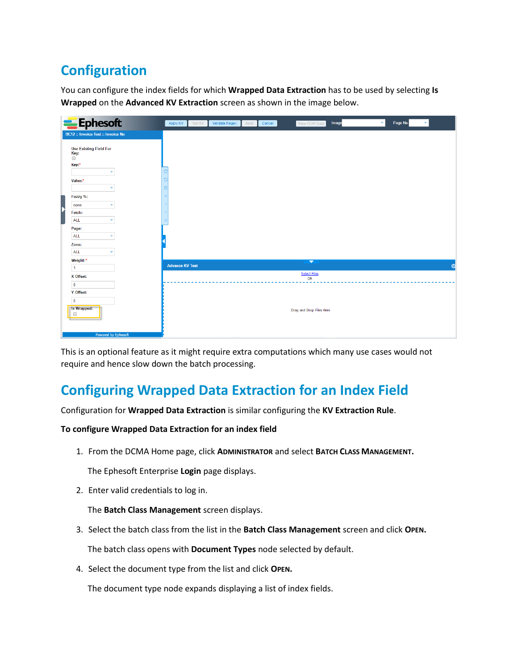# **Configuration**

You can configure the index fields for which **Wrapped Data Extraction** has to be used by selecting **Is Wrapped** on the **Advanced KV Extraction** screen as shown in the image below.

| Ephesoft                                                 | Page No.<br>Image<br>$\mathbf{v}$<br>View OCR Data<br>Apply KV<br><b>Test KV</b><br>Validate Regex<br>Back<br>Cancel |
|----------------------------------------------------------|----------------------------------------------------------------------------------------------------------------------|
| <b>BC12 :: Invoice-Test :: Invoice No</b>                |                                                                                                                      |
| <b>Use Existing Field For</b><br>Key:<br>$\Box$<br>Key:* |                                                                                                                      |
| ٠                                                        |                                                                                                                      |
| Value:*                                                  |                                                                                                                      |
| ٠                                                        |                                                                                                                      |
| Fuzzy %:                                                 |                                                                                                                      |
| none<br>٠                                                |                                                                                                                      |
| D<br>Fetch:                                              |                                                                                                                      |
| ALL<br>٠                                                 |                                                                                                                      |
| Page:                                                    |                                                                                                                      |
| ALL<br>٠                                                 |                                                                                                                      |
| Zone:                                                    |                                                                                                                      |
| ALL<br>٠                                                 |                                                                                                                      |
| Weight:*                                                 | $\overline{\phantom{0}}$<br><b>Advance KV Test</b><br>$\approx$                                                      |
| $\mathbf{1}$                                             | <b>Select Files</b>                                                                                                  |
| X Offset:                                                | <b>OR</b>                                                                                                            |
| $\overline{\phantom{0}}$                                 |                                                                                                                      |
| Y Offset:                                                |                                                                                                                      |
| $\overline{\phantom{0}}$                                 |                                                                                                                      |
| Is Wrapped:<br>$\Box$                                    | Drag and Drop Files Here                                                                                             |
| <b>Powered by Ephesoft</b>                               |                                                                                                                      |

This is an optional feature as it might require extra computations which many use cases would not require and hence slow down the batch processing.

## **Configuring Wrapped Data Extraction for an Index Field**

Configuration for **Wrapped Data Extraction** is similar configuring the **KV Extraction Rule**.

#### **To configure Wrapped Data Extraction for an index field**

1. From the DCMA Home page, click **ADMINISTRATOR** and select **BATCH CLASS MANAGEMENT.**

The Ephesoft Enterprise **Login** page displays.

2. Enter valid credentials to log in.

The **Batch Class Management** screen displays.

- 3. Select the batch class from the list in the **Batch Class Management** screen and click **OPEN.** The batch class opens with **Document Types** node selected by default.
- 4. Select the document type from the list and click **OPEN.**

The document type node expands displaying a list of index fields.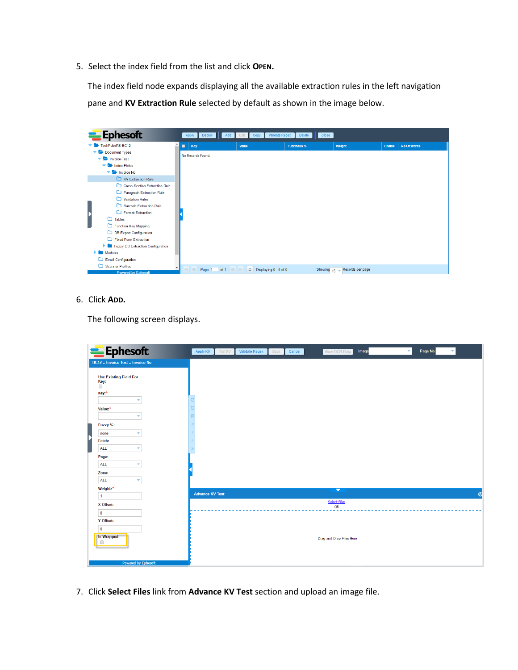5. Select the index field from the list and click **OPEN.**

The index field node expands displaying all the available extraction rules in the left navigation pane and **KV Extraction Rule** selected by default as shown in the image below.

|   | <b>Ephesoft</b>                          |   | Apply<br>Deploy<br>Add               | Validate Regex<br>Copy<br>Edit      | Delete<br>Close    |                  |        |                    |
|---|------------------------------------------|---|--------------------------------------|-------------------------------------|--------------------|------------------|--------|--------------------|
|   | TechPubsRS-BC12                          | ■ | Key                                  | Value                               | <b>Fuzziness %</b> | Weight           | Enable | <b>No Of Words</b> |
|   | Document Types                           |   | No Records Found.                    |                                     |                    |                  |        |                    |
|   | Invoice-Test                             |   |                                      |                                     |                    |                  |        |                    |
|   | $\blacktriangleright$ Index Fields       |   |                                      |                                     |                    |                  |        |                    |
|   | $\blacktriangleright$ <b>Exercise</b> No |   |                                      |                                     |                    |                  |        |                    |
|   | <b>EXtraction Rule</b>                   |   |                                      |                                     |                    |                  |        |                    |
|   | Cross Section Extraction Rule            |   |                                      |                                     |                    |                  |        |                    |
|   | Paragraph Extraction Rule                |   |                                      |                                     |                    |                  |        |                    |
|   | Validation Rules                         |   |                                      |                                     |                    |                  |        |                    |
|   | <b>Barcode Extraction Rule</b>           |   |                                      |                                     |                    |                  |        |                    |
| þ | Format Extraction                        |   |                                      |                                     |                    |                  |        |                    |
|   | $\Box$ Tables                            |   |                                      |                                     |                    |                  |        |                    |
|   | Function Key Mapping                     |   |                                      |                                     |                    |                  |        |                    |
|   | DB Export Configuration                  |   |                                      |                                     |                    |                  |        |                    |
|   | Fixed Form Extraction                    |   |                                      |                                     |                    |                  |        |                    |
|   | Fuzzy DB Extraction Configuration        |   |                                      |                                     |                    |                  |        |                    |
|   | <b>Modules</b>                           |   |                                      |                                     |                    |                  |        |                    |
|   | Email Configuration                      |   |                                      |                                     |                    |                  |        |                    |
|   | Scanner Profiles                         |   | of 1 $\circ$ $\rightarrow$<br>Page 1 | $\boxed{C}$ Displaying $0 - 0$ of 0 | Showing $15 -$     | Records per page |        |                    |
|   | <b>Powered by Ephesoft</b>               |   |                                      |                                     |                    |                  |        |                    |

6. Click **ADD.**

The following screen displays.

| Ephesoft                                                 | Page No.<br>$\overline{\mathbf{v}}$<br>Image<br>$\mathbf{v}$<br>Apply KV<br>Validate Regex<br>View OCR Data<br><b>Test KV</b><br>Back<br>Cancel |
|----------------------------------------------------------|-------------------------------------------------------------------------------------------------------------------------------------------------|
| <b>BC12 :: Invoice-Test :: Invoice No</b>                |                                                                                                                                                 |
| <b>Use Existing Field For</b><br>Key:<br>$\Box$<br>Key:* |                                                                                                                                                 |
| $\overline{\phantom{a}}$                                 |                                                                                                                                                 |
| Value:*<br>۰                                             |                                                                                                                                                 |
| Fuzzy %:                                                 |                                                                                                                                                 |
| none<br>۰                                                |                                                                                                                                                 |
| Fetch:                                                   |                                                                                                                                                 |
| <b>ALL</b><br>$\overline{\phantom{a}}$                   |                                                                                                                                                 |
| Page:                                                    |                                                                                                                                                 |
| ALL<br>۰                                                 |                                                                                                                                                 |
| Zone:                                                    |                                                                                                                                                 |
| ALL<br>٠                                                 |                                                                                                                                                 |
| Weight:*                                                 | ▼                                                                                                                                               |
| $\vert$ 1                                                | <b>Advance KV Test</b><br>Ø                                                                                                                     |
| X Offset:                                                | Select Files<br>OR                                                                                                                              |
| $\overline{\mathbf{0}}$                                  |                                                                                                                                                 |
| Y Offset:                                                |                                                                                                                                                 |
| $\overline{\phantom{0}}$                                 |                                                                                                                                                 |
| Is Wrapped:<br>$\Box$                                    | Drag and Drop Files Here                                                                                                                        |
| <b>Powered by Ephesoft</b>                               |                                                                                                                                                 |

7. Click **Select Files** link from **Advance KV Test** section and upload an image file.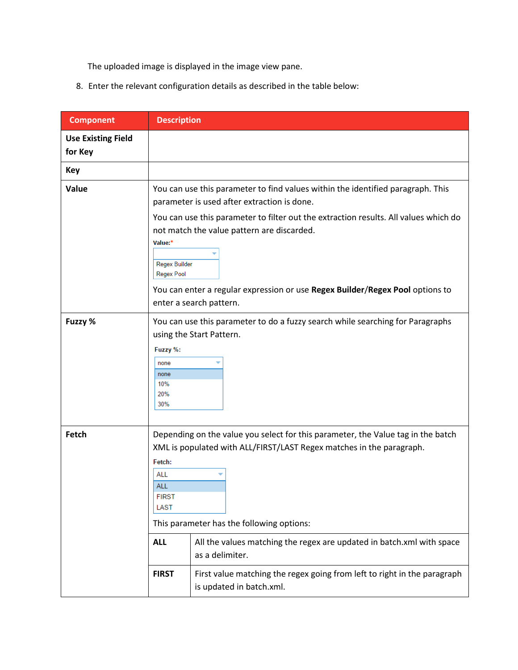The uploaded image is displayed in the image view pane.

8. Enter the relevant configuration details as described in the table below:

| <b>Component</b>                     | <b>Description</b>                                                                                                                                                                                    |                                                                                                                                                                                                                                                                      |  |  |  |  |
|--------------------------------------|-------------------------------------------------------------------------------------------------------------------------------------------------------------------------------------------------------|----------------------------------------------------------------------------------------------------------------------------------------------------------------------------------------------------------------------------------------------------------------------|--|--|--|--|
| <b>Use Existing Field</b><br>for Key |                                                                                                                                                                                                       |                                                                                                                                                                                                                                                                      |  |  |  |  |
| <b>Key</b>                           |                                                                                                                                                                                                       |                                                                                                                                                                                                                                                                      |  |  |  |  |
| Value                                | Value:*<br>Regex Builder<br><b>Regex Pool</b>                                                                                                                                                         | You can use this parameter to find values within the identified paragraph. This<br>parameter is used after extraction is done.<br>You can use this parameter to filter out the extraction results. All values which do<br>not match the value pattern are discarded. |  |  |  |  |
|                                      | You can enter a regular expression or use Regex Builder/Regex Pool options to<br>enter a search pattern.                                                                                              |                                                                                                                                                                                                                                                                      |  |  |  |  |
| Fuzzy %                              | You can use this parameter to do a fuzzy search while searching for Paragraphs<br>using the Start Pattern.<br>Fuzzy %:<br>none<br>none<br>10%<br>20%<br>30%                                           |                                                                                                                                                                                                                                                                      |  |  |  |  |
| Fetch                                | Depending on the value you select for this parameter, the Value tag in the batch<br>XML is populated with ALL/FIRST/LAST Regex matches in the paragraph.<br>This parameter has the following options: |                                                                                                                                                                                                                                                                      |  |  |  |  |
|                                      | <b>ALL</b>                                                                                                                                                                                            | All the values matching the regex are updated in batch.xml with space<br>as a delimiter.                                                                                                                                                                             |  |  |  |  |
|                                      | <b>FIRST</b>                                                                                                                                                                                          | First value matching the regex going from left to right in the paragraph<br>is updated in batch.xml.                                                                                                                                                                 |  |  |  |  |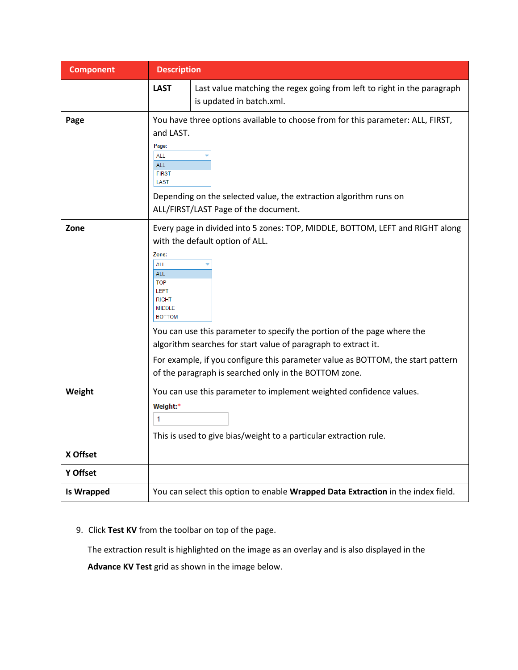| <b>Component</b>  | <b>Description</b>                                                                                                                                                                                                                                                                                                                                                                                                                                                                                                            |                                                                                                                                                                                              |  |  |  |  |  |
|-------------------|-------------------------------------------------------------------------------------------------------------------------------------------------------------------------------------------------------------------------------------------------------------------------------------------------------------------------------------------------------------------------------------------------------------------------------------------------------------------------------------------------------------------------------|----------------------------------------------------------------------------------------------------------------------------------------------------------------------------------------------|--|--|--|--|--|
|                   | <b>LAST</b>                                                                                                                                                                                                                                                                                                                                                                                                                                                                                                                   | Last value matching the regex going from left to right in the paragraph<br>is updated in batch.xml.                                                                                          |  |  |  |  |  |
| Page              | and LAST.<br>Page:<br><b>ALL</b><br><b>ALL</b><br><b>FIRST</b><br>LAST                                                                                                                                                                                                                                                                                                                                                                                                                                                        | You have three options available to choose from for this parameter: ALL, FIRST,<br>Depending on the selected value, the extraction algorithm runs on<br>ALL/FIRST/LAST Page of the document. |  |  |  |  |  |
| Zone              | Every page in divided into 5 zones: TOP, MIDDLE, BOTTOM, LEFT and RIGHT along<br>with the default option of ALL.<br>Zone:<br><b>ALL</b><br><b>ALL</b><br><b>TOP</b><br><b>LEFT</b><br><b>RIGHT</b><br><b>MIDDLE</b><br><b>BOTTOM</b><br>You can use this parameter to specify the portion of the page where the<br>algorithm searches for start value of paragraph to extract it.<br>For example, if you configure this parameter value as BOTTOM, the start pattern<br>of the paragraph is searched only in the BOTTOM zone. |                                                                                                                                                                                              |  |  |  |  |  |
| Weight            | You can use this parameter to implement weighted confidence values.<br>Weight:*<br>1<br>This is used to give bias/weight to a particular extraction rule.                                                                                                                                                                                                                                                                                                                                                                     |                                                                                                                                                                                              |  |  |  |  |  |
| X Offset          |                                                                                                                                                                                                                                                                                                                                                                                                                                                                                                                               |                                                                                                                                                                                              |  |  |  |  |  |
| Y Offset          |                                                                                                                                                                                                                                                                                                                                                                                                                                                                                                                               |                                                                                                                                                                                              |  |  |  |  |  |
| <b>Is Wrapped</b> |                                                                                                                                                                                                                                                                                                                                                                                                                                                                                                                               | You can select this option to enable Wrapped Data Extraction in the index field.                                                                                                             |  |  |  |  |  |

9. Click **Test KV** from the toolbar on top of the page.

The extraction result is highlighted on the image as an overlay and is also displayed in the

**Advance KV Test** grid as shown in the image below.